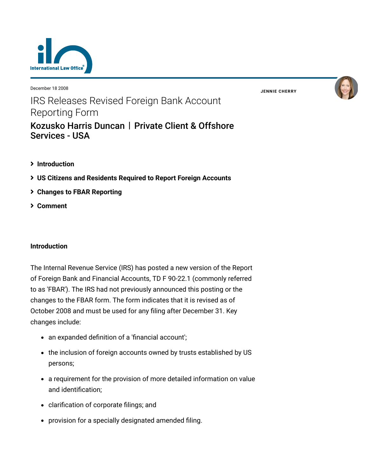

December 18 2008

**JENNIE [CHERRY](https://www.lexology.com/23364/author/Jennie_Cherry/)**



# IRS Releases Revised Foreign Bank Account Reporting Form

# [Kozusko Harris Duncan](https://www.lexology.com/contributors/23364) | Private Client & Offshore Services - USA

- **[Introduction](#page-0-0)**
- **[US Citizens and Residents Required to Report Foreign Accounts](#page-1-0)**
- **[Changes to FBAR Reporting](#page-1-1)**
- **[Comment](#page-3-0)**

## <span id="page-0-0"></span>**Introduction**

The Internal Revenue Service (IRS) has posted a new version of the Report of Foreign Bank and Financial Accounts, TD F 90-22.1 (commonly referred to as 'FBAR'). The IRS had not previously announced this posting or the changes to the FBAR form. The form indicates that it is revised as of October 2008 and must be used for any filing after December 31. Key changes include:

- an expanded definition of a 'financial account';
- the inclusion of foreign accounts owned by trusts established by US persons;
- a requirement for the provision of more detailed information on value and identification;
- clarification of corporate filings; and
- provision for a specially designated amended filing.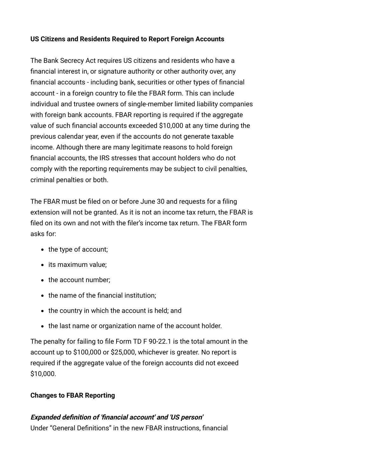## <span id="page-1-0"></span>**US Citizens and Residents Required to Report Foreign Accounts**

The Bank Secrecy Act requires US citizens and residents who have a financial interest in, or signature authority or other authority over, any financial accounts - including bank, securities or other types of financial account - in a foreign country to file the FBAR form. This can include individual and trustee owners of single-member limited liability companies with foreign bank accounts. FBAR reporting is required if the aggregate value of such financial accounts exceeded \$10,000 at any time during the previous calendar year, even if the accounts do not generate taxable income. Although there are many legitimate reasons to hold foreign financial accounts, the IRS stresses that account holders who do not comply with the reporting requirements may be subject to civil penalties, criminal penalties or both.

The FBAR must be filed on or before June 30 and requests for a filing extension will not be granted. As it is not an income tax return, the FBAR is filed on its own and not with the filer's income tax return. The FBAR form asks for:

- the type of account;
- its maximum value;
- the account number;
- the name of the financial institution;
- $\bullet$  the country in which the account is held; and
- the last name or organization name of the account holder.

<span id="page-1-1"></span>The penalty for failing to file Form TD F 90-22.1 is the total amount in the account up to \$100,000 or \$25,000, whichever is greater. No report is required if the aggregate value of the foreign accounts did not exceed \$10,000.

## **Changes to FBAR Reporting**

## **Expanded definition of 'financial account' and 'US person'**

Under "General Definitions" in the new FBAR instructions, financial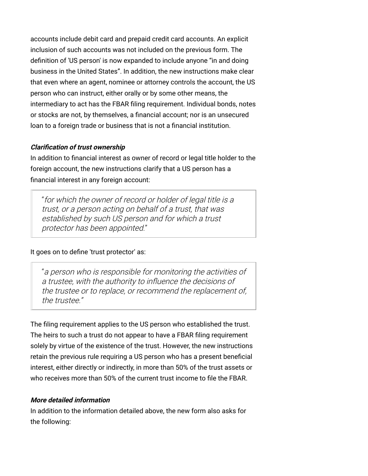accounts include debit card and prepaid credit card accounts. An explicit inclusion of such accounts was not included on the previous form. The definition of 'US person' is now expanded to include anyone "in and doing business in the United States". In addition, the new instructions make clear that even where an agent, nominee or attorney controls the account, the US person who can instruct, either orally or by some other means, the intermediary to act has the FBAR filing requirement. Individual bonds, notes or stocks are not, by themselves, a financial account; nor is an unsecured loan to a foreign trade or business that is not a financial institution.

## **Clarification of trust ownership**

In addition to financial interest as owner of record or legal title holder to the foreign account, the new instructions clarify that a US person has a financial interest in any foreign account:

"for which the owner of record or holder of legal title is a trust, or a person acting on behalf of a trust, that was established by such US person and for which a trust protector has been appointed."

#### It goes on to define 'trust protector' as:

"a person who is responsible for monitoring the activities of a trustee, with the authority to influence the decisions of the trustee or to replace, or recommend the replacement of, the trustee."

The filing requirement applies to the US person who established the trust. The heirs to such a trust do not appear to have a FBAR filing requirement solely by virtue of the existence of the trust. However, the new instructions retain the previous rule requiring a US person who has a present beneficial interest, either directly or indirectly, in more than 50% of the trust assets or who receives more than 50% of the current trust income to file the FBAR.

#### **More detailed information**

In addition to the information detailed above, the new form also asks for the following: